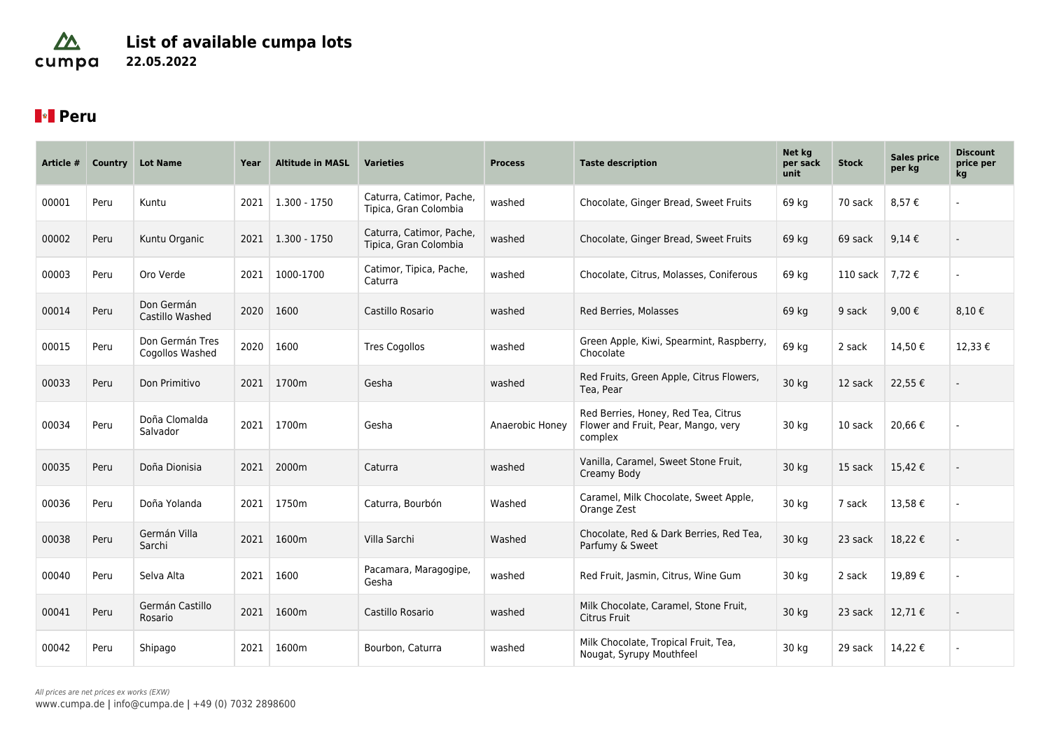### $\Delta$ **List of available cumpa lots** cumpa **22.05.2022**

# **Peru**

| Article # | Country | <b>Lot Name</b>                    | Year | <b>Altitude in MASL</b> | <b>Varieties</b>                                  | <b>Process</b>  | <b>Taste description</b>                                                              | Net kg<br>per sack<br>unit | <b>Stock</b> | <b>Sales price</b><br>per kg | <b>Discount</b><br>price per<br>kg |
|-----------|---------|------------------------------------|------|-------------------------|---------------------------------------------------|-----------------|---------------------------------------------------------------------------------------|----------------------------|--------------|------------------------------|------------------------------------|
| 00001     | Peru    | Kuntu                              | 2021 | 1.300 - 1750            | Caturra, Catimor, Pache,<br>Tipica, Gran Colombia | washed          | Chocolate, Ginger Bread, Sweet Fruits                                                 | 69 kg                      | 70 sack      | 8,57€                        |                                    |
| 00002     | Peru    | Kuntu Organic                      | 2021 | $1.300 - 1750$          | Caturra, Catimor, Pache,<br>Tipica, Gran Colombia | washed          | Chocolate, Ginger Bread, Sweet Fruits                                                 | 69 kg                      | 69 sack      | 9,14€                        |                                    |
| 00003     | Peru    | Oro Verde                          | 2021 | 1000-1700               | Catimor, Tipica, Pache,<br>Caturra                | washed          | Chocolate, Citrus, Molasses, Coniferous                                               | 69 kg                      | 110 sack     | 7,72€                        |                                    |
| 00014     | Peru    | Don Germán<br>Castillo Washed      | 2020 | 1600                    | Castillo Rosario                                  | washed          | Red Berries, Molasses                                                                 | 69 kg                      | 9 sack       | 9,00€                        | 8,10€                              |
| 00015     | Peru    | Don Germán Tres<br>Cogollos Washed | 2020 | 1600                    | <b>Tres Cogollos</b>                              | washed          | Green Apple, Kiwi, Spearmint, Raspberry,<br>Chocolate                                 | 69 kg                      | 2 sack       | 14,50€                       | 12,33€                             |
| 00033     | Peru    | Don Primitivo                      | 2021 | 1700m                   | Gesha                                             | washed          | Red Fruits, Green Apple, Citrus Flowers,<br>Tea, Pear                                 | 30 kg                      | 12 sack      | 22,55€                       |                                    |
| 00034     | Peru    | Doña Clomalda<br>Salvador          | 2021 | 1700m                   | Gesha                                             | Anaerobic Honey | Red Berries, Honey, Red Tea, Citrus<br>Flower and Fruit, Pear, Mango, very<br>complex | 30 kg                      | 10 sack      | 20,66€                       |                                    |
| 00035     | Peru    | Doña Dionisia                      | 2021 | 2000m                   | Caturra                                           | washed          | Vanilla, Caramel, Sweet Stone Fruit,<br>Creamy Body                                   | 30 kg                      | 15 sack      | 15,42€                       |                                    |
| 00036     | Peru    | Doña Yolanda                       | 2021 | 1750m                   | Caturra, Bourbón                                  | Washed          | Caramel, Milk Chocolate, Sweet Apple,<br>Orange Zest                                  | 30 kg                      | 7 sack       | 13,58€                       |                                    |
| 00038     | Peru    | Germán Villa<br>Sarchi             | 2021 | 1600m                   | Villa Sarchi                                      | Washed          | Chocolate, Red & Dark Berries, Red Tea,<br>Parfumy & Sweet                            | 30 kg                      | 23 sack      | 18,22€                       |                                    |
| 00040     | Peru    | Selva Alta                         | 2021 | 1600                    | Pacamara, Maragogipe,<br>Gesha                    | washed          | Red Fruit, Jasmin, Citrus, Wine Gum                                                   | 30 kg                      | 2 sack       | 19,89€                       |                                    |
| 00041     | Peru    | Germán Castillo<br>Rosario         | 2021 | 1600m                   | Castillo Rosario                                  | washed          | Milk Chocolate, Caramel, Stone Fruit,<br>Citrus Fruit                                 | 30 kg                      | 23 sack      | 12,71€                       |                                    |
| 00042     | Peru    | Shipago                            | 2021 | 1600m                   | Bourbon, Caturra                                  | washed          | Milk Chocolate, Tropical Fruit, Tea,<br>Nougat, Syrupy Mouthfeel                      | 30 kg                      | 29 sack      | 14,22€                       |                                    |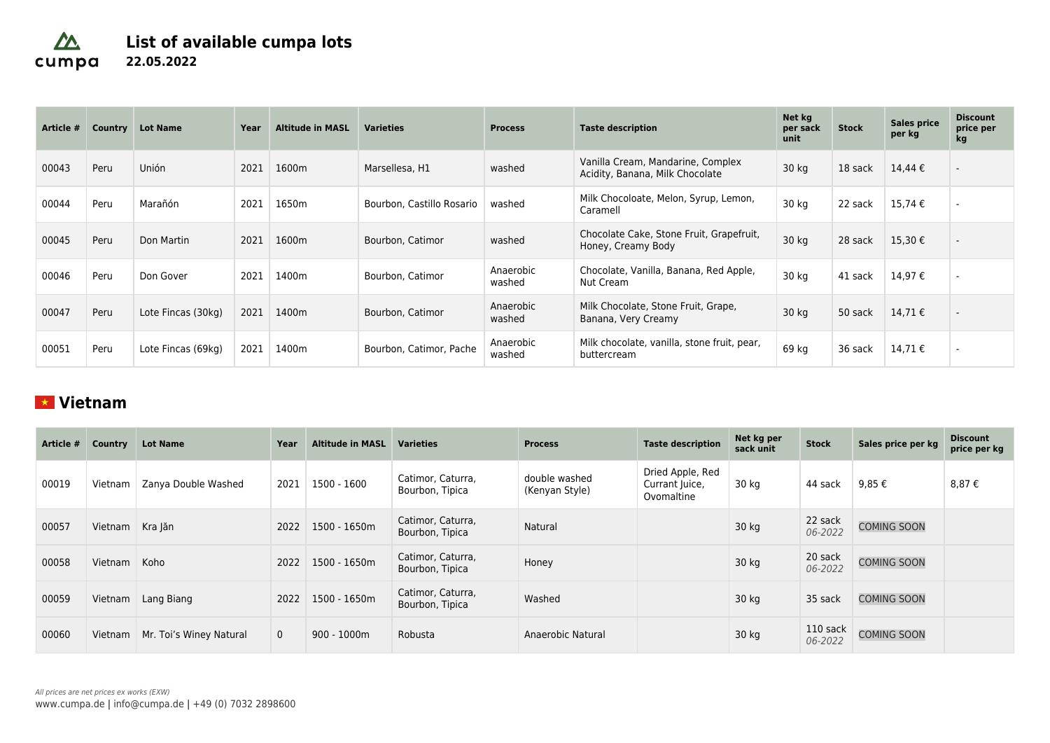### $\Delta$ **List of available cumpa lots** cumpa **22.05.2022**

| Article # | Country | <b>Lot Name</b>    | Year | <b>Altitude in MASL</b> | <b>Varieties</b>          | <b>Process</b>      | <b>Taste description</b>                                             | Net kg<br>per sack<br>unit | <b>Stock</b> | <b>Sales price</b><br>per kg | <b>Discount</b><br>price per<br>kg |
|-----------|---------|--------------------|------|-------------------------|---------------------------|---------------------|----------------------------------------------------------------------|----------------------------|--------------|------------------------------|------------------------------------|
| 00043     | Peru    | Unión              | 2021 | 1600m                   | Marsellesa, H1            | washed              | Vanilla Cream, Mandarine, Complex<br>Acidity, Banana, Milk Chocolate | 30 kg                      | 18 sack      | 14,44 €                      |                                    |
| 00044     | Peru    | Marañón            | 2021 | 1650m                   | Bourbon, Castillo Rosario | washed              | Milk Chocoloate, Melon, Syrup, Lemon,<br>Caramell                    | 30 kg                      | 22 sack      | 15,74 €                      |                                    |
| 00045     | Peru    | Don Martin         | 2021 | 1600m                   | Bourbon, Catimor          | washed              | Chocolate Cake, Stone Fruit, Grapefruit,<br>Honey, Creamy Body       | 30 kg                      | 28 sack      | 15,30€                       | $\overline{\phantom{a}}$           |
| 00046     | Peru    | Don Gover          | 2021 | 1400m                   | Bourbon, Catimor          | Anaerobic<br>washed | Chocolate, Vanilla, Banana, Red Apple,<br>Nut Cream                  | 30 kg                      | 41 sack      | 14,97€                       |                                    |
| 00047     | Peru    | Lote Fincas (30kg) | 2021 | 1400m                   | Bourbon, Catimor          | Anaerobic<br>washed | Milk Chocolate, Stone Fruit, Grape,<br>Banana, Very Creamy           | 30 kg                      | 50 sack      | 14,71€                       |                                    |
| 00051     | Peru    | Lote Fincas (69kg) | 2021 | 1400m                   | Bourbon, Catimor, Pache   | Anaerobic<br>washed | Milk chocolate, vanilla, stone fruit, pear,<br>buttercream           | 69 kg                      | 36 sack      | 14,71 €                      |                                    |

## **Vietnam**

| Article # | Country | <b>Lot Name</b>         | Year         | <b>Altitude in MASL</b> | <b>Varieties</b>                     | <b>Process</b>                  | <b>Taste description</b>                         | Net kg per<br>sack unit | <b>Stock</b>        | Sales price per kg | <b>Discount</b><br>price per kg |
|-----------|---------|-------------------------|--------------|-------------------------|--------------------------------------|---------------------------------|--------------------------------------------------|-------------------------|---------------------|--------------------|---------------------------------|
| 00019     | Vietnam | Zanya Double Washed     | 2021         | 1500 - 1600             | Catimor, Caturra,<br>Bourbon, Tipica | double washed<br>(Kenyan Style) | Dried Apple, Red<br>Currant Juice,<br>Ovomaltine | 30 kg                   | 44 sack             | 9,85€              | 8,87€                           |
| 00057     | Vietnam | Kra Jăn                 | 2022         | 1500 - 1650m            | Catimor, Caturra,<br>Bourbon, Tipica | Natural                         |                                                  | 30 kg                   | 22 sack<br>06-2022  | <b>COMING SOON</b> |                                 |
| 00058     | Vietnam | Koho                    | 2022         | 1500 - 1650m            | Catimor, Caturra,<br>Bourbon, Tipica | Honey                           |                                                  | 30 kg                   | 20 sack<br>06-2022  | <b>COMING SOON</b> |                                 |
| 00059     | Vietnam | Lang Biang              | 2022         | 1500 - 1650m            | Catimor, Caturra,<br>Bourbon, Tipica | Washed                          |                                                  | 30 kg                   | 35 sack             | <b>COMING SOON</b> |                                 |
| 00060     | Vietnam | Mr. Toi's Winey Natural | $\mathbf{0}$ | $900 - 1000m$           | Robusta                              | Anaerobic Natural               |                                                  | 30 kg                   | 110 sack<br>06-2022 | <b>COMING SOON</b> |                                 |